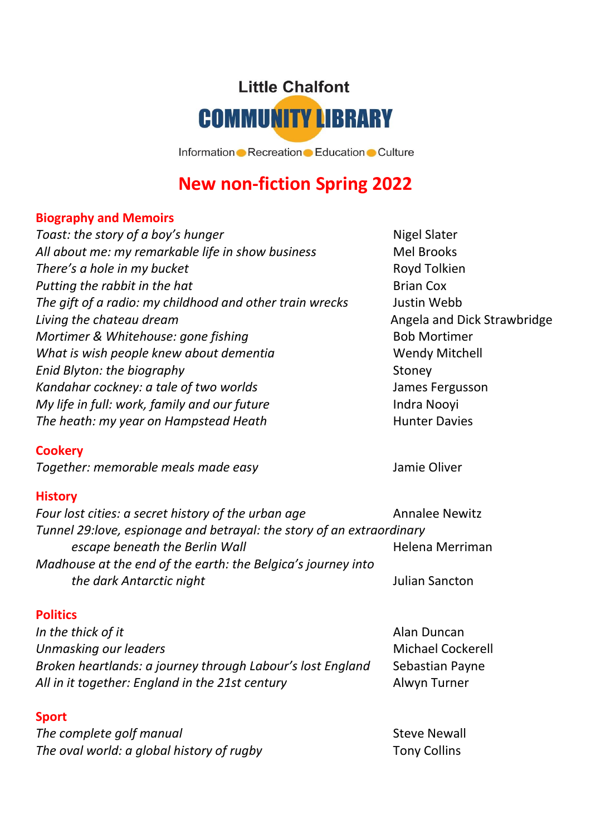# **Little Chalfont COMMUNITY LIBRARY**

Information Recreation Education Culture

### **New non-fiction Spring 2022**

#### **Biography and Memoirs**

| Toast: the story of a boy's hunger                       | <b>Nigel Slat</b> |
|----------------------------------------------------------|-------------------|
| All about me: my remarkable life in show business        | Mel Broo          |
| There's a hole in my bucket                              | Royd Tolk         |
| Putting the rabbit in the hat                            | <b>Brian Cox</b>  |
| The gift of a radio: my childhood and other train wrecks | Justin We         |
| Living the chateau dream                                 | Angela an         |
| Mortimer & Whitehouse: gone fishing                      | <b>Bob Mort</b>   |
| What is wish people knew about dementia                  | Wendy M           |
| Enid Blyton: the biography                               | Stoney            |
| Kandahar cockney: a tale of two worlds                   | James Fer         |
| My life in full: work, family and our future             | <b>Indra Noo</b>  |
| The heath: my year on Hampstead Heath                    | Hunter D          |

#### **Cookery**

*Together: memorable meals made easy* Jamie Oliver

#### **History**

*Four lost cities: a secret history of the urban age* Annalee Newitz *Tunnel 29:love, espionage and betrayal: the story of an extraordinary escape beneath the Berlin Wall* **Example 20 Ferroman** Helena Merriman *Madhouse at the end of the earth: the Belgica's journey into the dark Antarctic night* Julian Sancton

#### **Politics**

*In the thick of it* **Alan Duncan** *Unmasking our leaders* **Michael Cockerell** *Broken heartlands: a journey through Labour's lost England* Sebastian Payne All in it together: England in the 21st century **All in it together: England in the 21st century** 

#### **Sport**

*The complete golf manual* **Steve Newall** Steve Newall *The oval world: a global history of rugby* **The oval world: a global history of rugby Tony Collins** 

**Nigel Slater** *All about me: my remarkable life in show business* Mel Brooks *There's a hole in my bucket* Royd Tolkien *The gift of a radio: my childhood and other train wrecks* Justin Webb *Living the chateau dream* Angela and Dick Strawbridge *Mortimer & Whitehouse: gone fishing* Bob Mortimer **Wendy Mitchell** James Fergusson *My life in full: work, family and our future* Indra Nooyi **Hunter Davies**